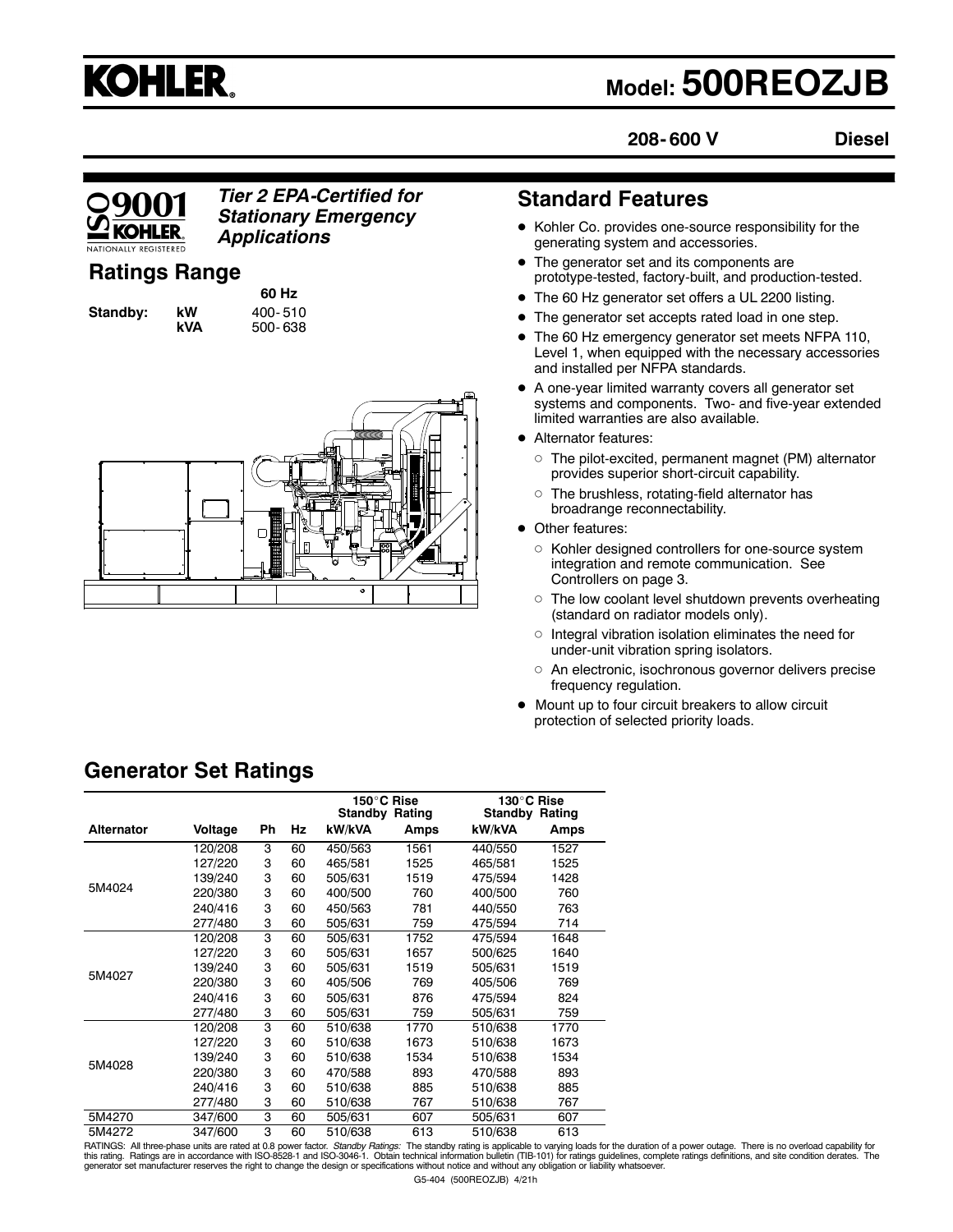

# **Model: 500REOZJB**

**208- 600 V**

**Diesel**

# **KOHI FR**

# *Tier 2 EPA-Certified for Stationary Emergency Applications*

# **Ratings Range**

**Standby: kW** 400-510

**60 Hz kVA** 500- 638



# **Standard Features**

- Kohler Co. provides one-source responsibility for the generating system and accessories.
- The generator set and its components are prototype-tested, factory-built, and production-tested.
- The 60 Hz generator set offers a UL 2200 listing.
- The generator set accepts rated load in one step.
- The 60 Hz emergency generator set meets NFPA 110, Level 1, when equipped with the necessary accessories and installed per NFPA standards.
- $\bullet$  A one-year limited warranty covers all generator set systems and components. Two- and five-year extended limited warranties are also available.
- Alternator features:
	- $\circ$  The pilot-excited, permanent magnet (PM) alternator provides superior short-circuit capability.
	- $\circ$  The brushless, rotating-field alternator has broadrange reconnectability.
- Other features:
	- $\circ$  Kohler designed controllers for one-source system integration and remote communication. See Controllers on page 3.
	- $\circ$  The low coolant level shutdown prevents overheating (standard on radiator models only).
	- $\circ$  Integral vibration isolation eliminates the need for under-unit vibration spring isolators.
	- o An electronic, isochronous governor delivers precise frequency regulation.
- $\bullet$  Mount up to four circuit breakers to allow circuit protection of selected priority loads.

|                   |         |           |    |         | 150°C Rise<br><b>Standby Rating</b> | <b>Standby</b> | 130°C Rise<br>Rating |
|-------------------|---------|-----------|----|---------|-------------------------------------|----------------|----------------------|
| <b>Alternator</b> | Voltage | <b>Ph</b> | Hz | kW/kVA  | Amps                                | kW/kVA         | Amps                 |
|                   | 120/208 | 3         | 60 | 450/563 | 1561                                | 440/550        | 1527                 |
|                   | 127/220 | 3         | 60 | 465/581 | 1525                                | 465/581        | 1525                 |
|                   | 139/240 | 3         | 60 | 505/631 | 1519                                | 475/594        | 1428                 |
| 5M4024            | 220/380 | 3         | 60 | 400/500 | 760                                 | 400/500        | 760                  |
|                   | 240/416 | 3         | 60 | 450/563 | 781                                 | 440/550        | 763                  |
|                   | 277/480 | 3         | 60 | 505/631 | 759                                 | 475/594        | 714                  |
|                   | 120/208 | 3         | 60 | 505/631 | 1752                                | 475/594        | 1648                 |
|                   | 127/220 | 3         | 60 | 505/631 | 1657                                | 500/625        | 1640                 |
| 5M4027            | 139/240 | 3         | 60 | 505/631 | 1519                                | 505/631        | 1519                 |
|                   | 220/380 | 3         | 60 | 405/506 | 769                                 | 405/506        | 769                  |
|                   | 240/416 | 3         | 60 | 505/631 | 876                                 | 475/594        | 824                  |
|                   | 277/480 | 3         | 60 | 505/631 | 759                                 | 505/631        | 759                  |
|                   | 120/208 | 3         | 60 | 510/638 | 1770                                | 510/638        | 1770                 |
|                   | 127/220 | 3         | 60 | 510/638 | 1673                                | 510/638        | 1673                 |
|                   | 139/240 | 3         | 60 | 510/638 | 1534                                | 510/638        | 1534                 |
| 5M4028            | 220/380 | 3         | 60 | 470/588 | 893                                 | 470/588        | 893                  |
|                   | 240/416 | 3         | 60 | 510/638 | 885                                 | 510/638        | 885                  |
|                   | 277/480 | 3         | 60 | 510/638 | 767                                 | 510/638        | 767                  |
| 5M4270            | 347/600 | 3         | 60 | 505/631 | 607                                 | 505/631        | 607                  |
| 5M4272            | 347/600 | 3         | 60 | 510/638 | 613                                 | 510/638        | 613                  |

**Generator Set Ratings**

5M4272 347/600 3 60 510/638 613 510/638 613 RATINGS: All three-phase units are rated at 0.8 power factor. *Standby Ratings:* The standby rating is applicable to varying loads for the duration of a power outage. There is no overload capability for this rating. Ratings are in accordance with ISO-8528-1 and ISO-3046-1. Obtain technical information bulletin (TIB-101) for ratings guidelines, complete ratings definitions, and site condition derates. The generator set manufacturer reserves the right to change the design or specifications without notice and without any obligation or liability whatsoever.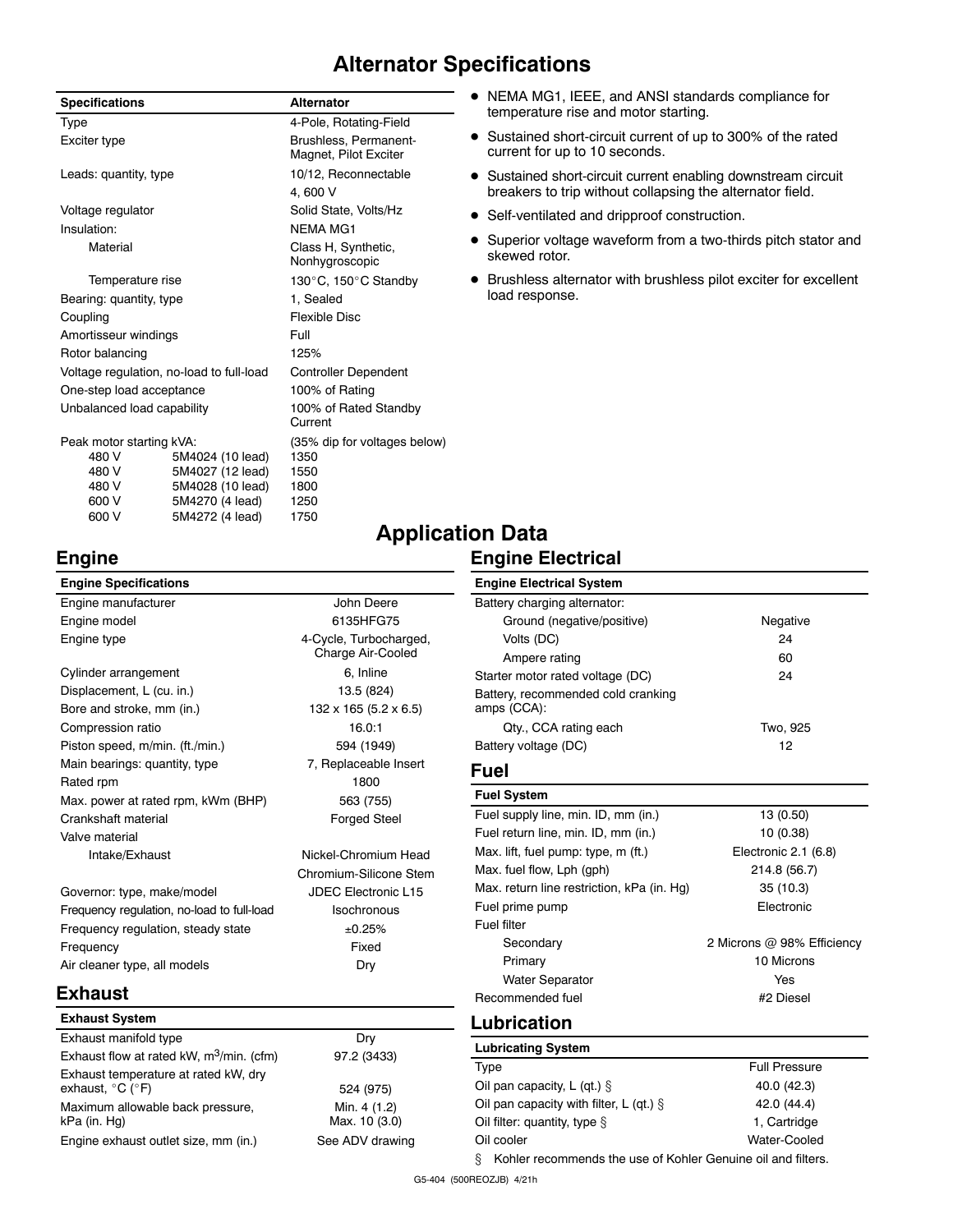# **Alternator Specifications**

| <b>Specifications</b>      |                                          | <b>Alternator</b>                              |  |  |
|----------------------------|------------------------------------------|------------------------------------------------|--|--|
| Type                       |                                          | 4-Pole, Rotating-Field                         |  |  |
| Exciter type               |                                          | Brushless, Permanent-<br>Magnet, Pilot Exciter |  |  |
| Leads: quantity, type      |                                          | 10/12, Reconnectable                           |  |  |
|                            |                                          | 4,600 V                                        |  |  |
| Voltage regulator          |                                          | Solid State, Volts/Hz                          |  |  |
| Insulation:                |                                          | NFMA MG1                                       |  |  |
| Material                   |                                          | Class H, Synthetic,<br>Nonhygroscopic          |  |  |
| Temperature rise           |                                          | 130°C, 150°C Standby                           |  |  |
| Bearing: quantity, type    |                                          | 1. Sealed                                      |  |  |
| Coupling                   |                                          | <b>Flexible Disc</b>                           |  |  |
| Amortisseur windings       |                                          | Full                                           |  |  |
| Rotor balancing            |                                          | 125%                                           |  |  |
|                            | Voltage regulation, no-load to full-load | <b>Controller Dependent</b>                    |  |  |
| One-step load acceptance   |                                          | 100% of Rating                                 |  |  |
| Unbalanced load capability |                                          | 100% of Rated Standby<br>Current               |  |  |
| Peak motor starting kVA:   |                                          | (35% dip for voltages below)                   |  |  |
| 480 V                      | 5M4024 (10 lead)                         | 1350                                           |  |  |
| 480 V                      | 5M4027 (12 lead)                         | 1550                                           |  |  |
| 480 V                      | 5M4028 (10 lead)                         | 1800                                           |  |  |
| 600 V                      | 5M4270 (4 lead)                          | 1250                                           |  |  |
| 600 V                      | 5M4272 (4 lead)                          | 1750                                           |  |  |

**Engine**

- NEMA MG1, IEEE, and ANSI standards compliance for temperature rise and motor starting.
- Sustained short-circuit current of up to 300% of the rated current for up to 10 seconds.
- Sustained short-circuit current enabling downstream circuit breakers to trip without collapsing the alternator field.
- Self-ventilated and dripproof construction.
- Superior voltage waveform from a two-thirds pitch stator and skewed rotor.
- $\bullet$  Brushless alternator with brushless pilot exciter for excellent load response.

#### **Engine Specifications** Engine manufacturer and a series of the John Deere Engine model 6135HFG75 Engine type **6.2 Community** 4-Cycle, Turbocharged, Charge Air-Cooled Cylinder arrangement 6, Inline Displacement, L (cu. in.) 13.5 (824) Bore and stroke, mm (in.) 132 x 165 (5.2 x 6.5) Compression ratio 16.0:1 Piston speed, m/min. (ft./min.) 594 (1949) Main bearings: quantity, type 7, Replaceable Insert Rated rpm 1800 Max. power at rated rpm, kWm (BHP) 563 (755) Crankshaft material **Forged** Steel Valve material Intake/Exhaust Nickel-Chromium Head Chromium-Silicone Stem Governor: type, make/model JDEC Electronic L15 Frequency regulation, no-load to full-load Isochronous Frequency regulation, steady state  $\pm 0.25\%$ Frequency **Fixed** Air cleaner type, all models Dry **Exhaust Exhaust System** Exhaust manifold type Dry Exhaust flow at rated kW,  $m^3/m$ in. (cfm) 97.2 (3433) Exhaust temperature at rated kW, dry exhaust,  $^{\circ}C$  ( $^{\circ}F$ ) 524 (975) Maximum allowable back pressure, kPa (in. Hg) Min. 4 (1.2) Max. 10 (3.0) Engine exhaust outlet size, mm (in.) See ADV drawing **Engine Electrical System** Battery charging alternator: Ground (negative/positive) Negative Volts (DC) 24 Ampere rating 60 Starter motor rated voltage (DC) 34 Battery, recommended cold cranking amps (CCA): Qty., CCA rating each Two, 925 Battery voltage (DC) 12 **Fuel Fuel System** Fuel supply line, min. ID, mm (in.) 13 (0.50) Fuel return line, min. ID, mm (in.) 10 (0.38) Max. lift, fuel pump: type, m (ft.) Electronic 2.1 (6.8) Max. fuel flow, Lph (gph) 214.8 (56.7) Max. return line restriction, kPa (in. Hg) 35 (10.3) Fuel prime pump example and the extreme Electronic Fuel filter Secondary 2 Microns @ 98% Efficiency Primary **10 Microns** Water Separator **Yes** Recommended fuel #2 Diesel **Lubrication Lubricating System** Type **Full Pressure** Oil pan capacity,  $L$  (qt.)  $\S$  40.0 (42.3) Oil pan capacity with filter,  $L$  (qt.)  $\S$  42.0 (44.4) Oil filter: quantity, type  $\S$  1, Cartridge Oil cooler Water-Cooled § Kohler recommends the use of Kohler Genuine oil and filters.

# **Application Data**

### **Engine Electrical**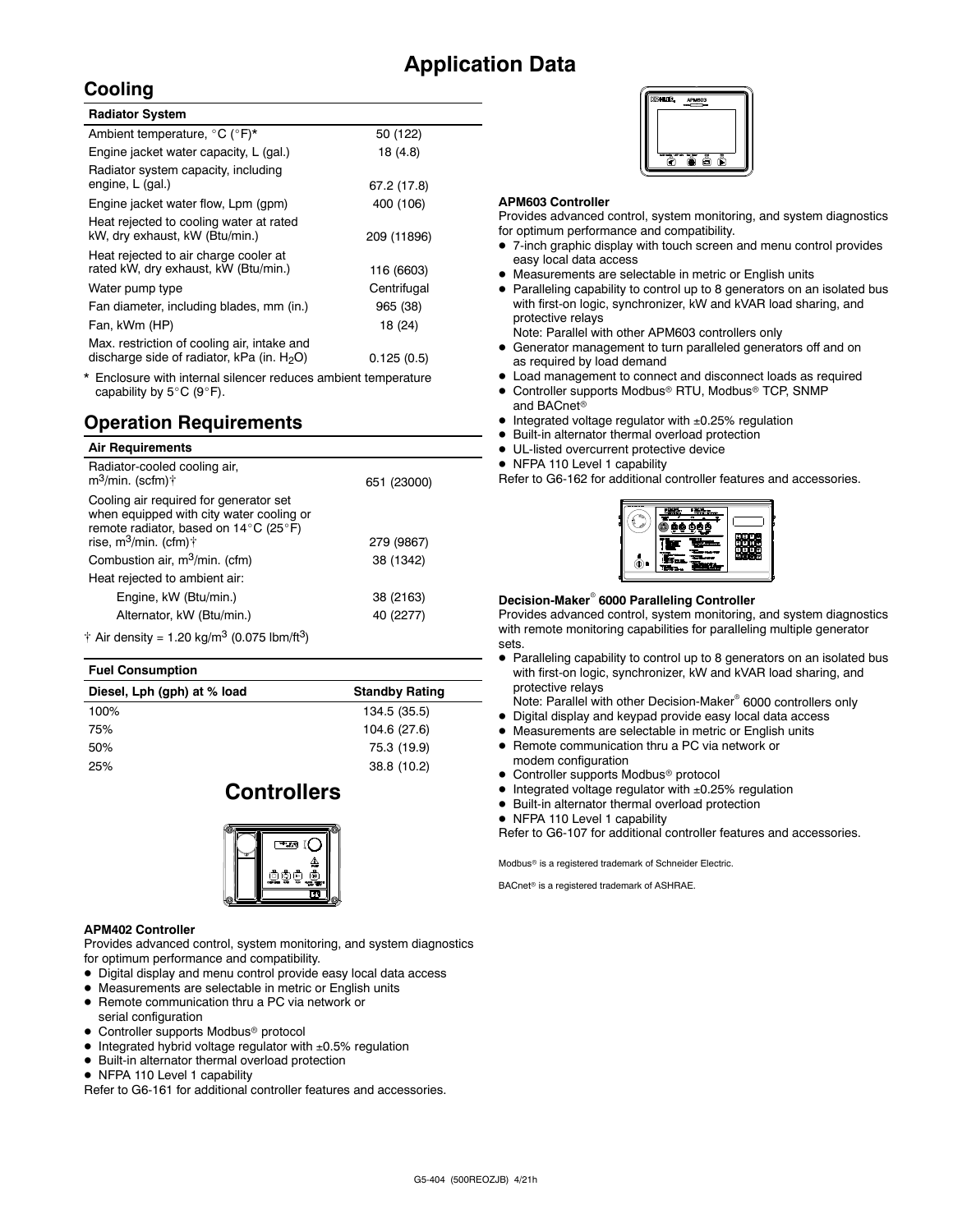# **Application Data**

# **Cooling**

| <b>Radiator System</b>                                                                       |             |  |
|----------------------------------------------------------------------------------------------|-------------|--|
| Ambient temperature, °C (°F)*                                                                | 50 (122)    |  |
| Engine jacket water capacity, L (gal.)                                                       | 18 (4.8)    |  |
| Radiator system capacity, including<br>engine, L (gal.)                                      | 67.2 (17.8) |  |
| Engine jacket water flow, Lpm (gpm)                                                          | 400 (106)   |  |
| Heat rejected to cooling water at rated<br>kW, dry exhaust, kW (Btu/min.)                    | 209 (11896) |  |
| Heat rejected to air charge cooler at<br>rated kW, dry exhaust, kW (Btu/min.)                | 116 (6603)  |  |
| Water pump type                                                                              | Centrifugal |  |
| Fan diameter, including blades, mm (in.)                                                     | 965 (38)    |  |
| Fan, kWm (HP)                                                                                | 18 (24)     |  |
| Max. restriction of cooling air, intake and<br>discharge side of radiator, kPa (in. $H_2O$ ) | 0.125(0.5)  |  |

Enclosure with internal silencer reduces ambient temperature capability by  $5^{\circ}$ C (9 $^{\circ}$ F).

# **Operation Requirements**

| <b>Air Requirements</b>                                                                                                                                          |             |
|------------------------------------------------------------------------------------------------------------------------------------------------------------------|-------------|
| Radiator-cooled cooling air,<br>$m^3$ /min. (scfm)†                                                                                                              | 651 (23000) |
| Cooling air required for generator set<br>when equipped with city water cooling or<br>remote radiator, based on 14°C (25°F)<br>rise, $m^3$ /min. (cfm) $\dagger$ | 279 (9867)  |
| Combustion air, m <sup>3</sup> /min. (cfm)                                                                                                                       | 38 (1342)   |
| Heat rejected to ambient air:                                                                                                                                    |             |
| Engine, kW (Btu/min.)                                                                                                                                            | 38 (2163)   |
| Alternator, kW (Btu/min.)                                                                                                                                        | 40 (2277)   |
| † Air density = 1.20 kg/m <sup>3</sup> (0.075 lbm/ft <sup>3</sup> )                                                                                              |             |

#### **Fuel Consumption**

| Diesel, Lph (gph) at % load | <b>Standby Rating</b> |
|-----------------------------|-----------------------|
| 100%                        | 134.5 (35.5)          |
| 75%                         | 104.6 (27.6)          |
| 50%                         | 75.3 (19.9)           |
| 25%                         | 38.8 (10.2)           |
|                             |                       |

# **Controllers**



#### **APM402 Controller**

Provides advanced control, system monitoring, and system diagnostics for optimum performance and compatibility.

- $\bullet$  Digital display and menu control provide easy local data access
- $\bullet$  Measurements are selectable in metric or English units
- Remote communication thru a PC via network or
- serial configuration
- $\bullet$  Controller supports Modbus<sup>®</sup> protocol
- $\bullet$  Integrated hybrid voltage regulator with  $\pm 0.5\%$  regulation
- $\bullet$  Built-in alternator thermal overload protection
- NFPA 110 Level 1 capability

Refer to G6-161 for additional controller features and accessories.



#### **APM603 Controller**

Provides advanced control, system monitoring, and system diagnostics for optimum performance and compatibility.

- 7-inch graphic display with touch screen and menu control provides easy local data access
- Measurements are selectable in metric or English units
- Paralleling capability to control up to 8 generators on an isolated bus with first-on logic, synchronizer, kW and kVAR load sharing, and protective relays

Note: Parallel with other APM603 controllers only

- **•** Generator management to turn paralleled generators off and on as required by load demand
- $\bullet$  Load management to connect and disconnect loads as required
- $\bullet$  Controller supports Modbus® RTU, Modbus® TCP, SNMP and BACnet<sup>®</sup>
- $\bullet$  Integrated voltage regulator with  $\pm 0.25\%$  regulation
- $\bullet$  Built-in alternator thermal overload protection
- $\bullet$  UL-listed overcurrent protective device
- NFPA 110 Level 1 capability

Refer to G6-162 for additional controller features and accessories.

|   | п<br>m<br>Æ |                    |
|---|-------------|--------------------|
| ā |             | <b>ZITITE</b><br>÷ |
|   |             |                    |

#### **Decision-Maker<sup>®</sup> 6000 Paralleling Controller**

Provides advanced control, system monitoring, and system diagnostics with remote monitoring capabilities for paralleling multiple generator sets.

• Paralleling capability to control up to 8 generators on an isolated bus with first-on logic, synchronizer, kW and kVAR load sharing, and protective relays

Note: Parallel with other Decision-Maker<sup>®</sup> 6000 controllers only

- $\bullet$  Digital display and keypad provide easy local data access
- Measurements are selectable in metric or English units
- Remote communication thru a PC via network or modem configuration
- Controller supports Modbus<sup>®</sup> protocol
- $\bullet$  Integrated voltage regulator with  $\pm 0.25\%$  regulation
- $\bullet$  Built-in alternator thermal overload protection
- NFPA 110 Level 1 capability

Refer to G6-107 for additional controller features and accessories.

Modbus<sup>®</sup> is a registered trademark of Schneider Electric.

BACnet<sup>®</sup> is a registered trademark of ASHRAE.